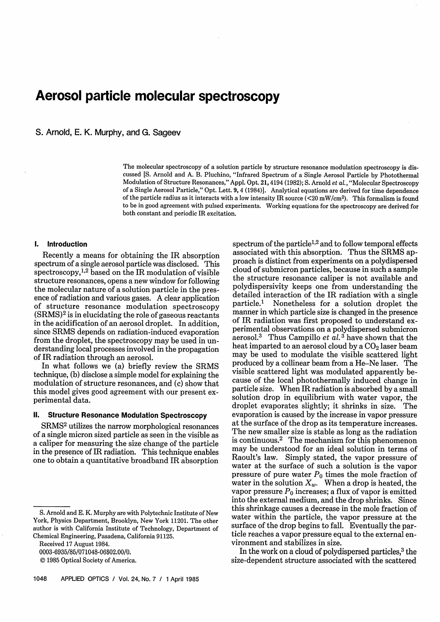# Aerosol particle molecular spectroscopy

S. Arnold, E. K. Murphy, and G. Sageev

The molecular spectroscopy of a solution particle by structure resonance modulation spectroscopy is discussed [S. Arnold and A. B. Pluchino, "Infrared Spectrum of a Single Aerosol Particle by Photothermal Modulation of Structure Resonances," Appl. Opt. 21, 4194 (1982); S. Arnold *et* al., "Molecular Spectroscopy of a Single Aerosol Particle," Opt. Lett. 9, 4 (1984)]. Analytical equations are derived for time dependence of the particle radius as it interacts with a low intensity IR source (<20 mW/cm<sup>2</sup>). This formalism is found to be in good agreement with pulsed experiments. Working equations for the spectroscopy are derived for both constant and periodic IR excitation.

## **1. Introduction**

Recently a means for obtaining the IR absorption spectrum of a single aerosol particle was disclosed. This spectroscopy,<sup>1,2</sup> based on the IR modulation of visible structure resonances, opens a new window for following the molecular nature of a solution particle in the presence of radiation and various gases. A clear application of structure resonance modulation spectroscopy  $(SRMS)<sup>2</sup>$  is in elucidating the role of gaseous reactants in the acidification of an aerosol droplet. In addition, since SRMS depends on radiation-induced evaporation from the droplet, the spectroscopy may be used in understanding local processes involved in the propagation of IR radiation through an aerosol.

In what follows we (a) briefly review the SRMS technique, (b) disclose a simple model for explaining the modulation of structure resonances, and (c) show that this model gives good agreement with our present experimental data.

# **II. Structure Resonance Modulation Spectroscopy**

SRMS<sup>2</sup> utilizes the narrow morphological resonances of a single micron sized particle as seen in the visible as a caliper for measuring the size change of the particle in the presence of IR radiation. This technique enables one to obtain a quantitative broadband IR absorption

Received 17 August 1984.

0003-6935/85/071048-06\$02.00/0.

spectrum of the particle<sup>1,2</sup> and to follow temporal effects associated with this absorption. Thus the SRMS approach is distinct from experiments on a polydispersed cloud of submicron particles, because in such a sample the structure resonance caliper is not available and polydispersivity keeps one from understanding the detailed interaction of the IR radiation with a single<br>particle.<sup>1</sup> Nonetheless for a solution droplet the Nonetheless for a solution droplet the manner in which particle size is changed in the presence of IR radiation was first proposed to understand experimental observations on a polydispersed submicron aerosol.3 Thus Campillo *et al.* <sup>3</sup> have shown that the heat imparted to an aerosol cloud by a  $CO<sub>2</sub>$  laser beam may be used to modulate the visible scattered light produced by a collinear beam from a He-Ne laser. The visible scattered light was modulated apparently because of the local photothermally induced change in particle size. When IR radiation is absorbed by a small solution drop in equilibrium with water vapor, the droplet evaporates slightly; it shrinks in size. The evaporation is caused by the increase in vapor pressure at the surface of the drop as its temperature increases. The new smaller size is stable as long as the radiation is continuous.2 The mechanism for this phenomenon may be understood for an ideal solution in terms of Raoult's law. Simply stated, the vapor pressure of water at the surface of such a solution is the vapor pressure of pure water  $P_0$  times the mole fraction of water in the solution  $X_w$ . When a drop is heated, the vapor pressure  $P_0$  increases; a flux of vapor is emitted into the external medium, and the drop shrinks. Since this shrinkage causes a decrease in the mole fraction of water within the particle, the vapor pressure at the surface of the drop begins to fall. Eventually the particle reaches a vapor pressure equal to the external environment and stabilizes in size.

In the work on a cloud of polydispersed particles,<sup>3</sup> the size-dependent structure associated with the scattered

S. Arnold and E. K. Murphy are with Polytechnic Institute of New York, Physics Department, Brooklyn, New York 11201. The other author is with California Institute of Technology, Department of Chemical Engineering, Pasadena, California 91125.

<sup>© 1985</sup> Optical Society of America.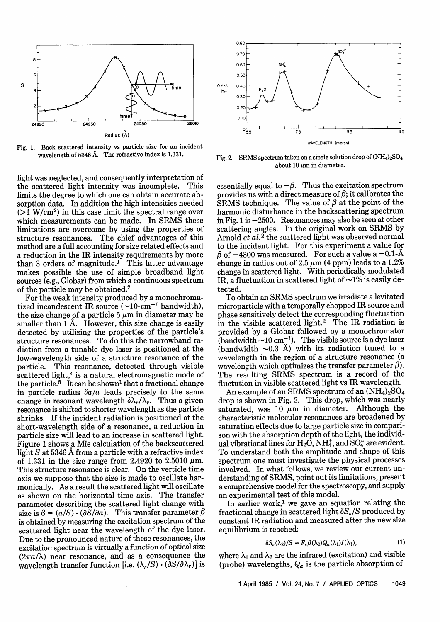

Fig. 1. Back scattered intensity vs particle size for an incident wavelength of 5346 A. The refractive index is 1.331.

light was neglected, and consequently interpretation of the scattered light intensity was incomplete. This limits the degree to which one can obtain accurate absorption data. In addition the high intensities needed  $(1)$  W/cm<sup>2</sup>) in this case limit the spectral range over which measurements can be made. In SRMS these limitations are overcome by using the properties of structure resonances. The chief advantages of this method are a full accounting for size related effects and a reduction in the IR intensity requirements by more than 3 orders of magnitude.<sup>1</sup> This latter advantage makes possible the use of simple broadband light sources (e.g., Globar) from which a continuous spectrum of the particle may be obtained.<sup>2</sup>

For the weak intensity produced by a monochromatized incandescent IR source  $(\sim 10$ -cm<sup>-1</sup> bandwidth), the size change of a particle 5  $\mu$ m in diameter may be smaller than 1 A. However, this size change is easily detected by utilizing the properties of the particle's structure resonances. To do this the narrowband radiation from a tunable dye laser is positioned at the low-wavelength side of a structure resonance of the particle. This resonance, detected through visible scattered light,<sup>4</sup> is a natural electromagnetic mode of the particle.<sup>5</sup> It can be shown<sup>1</sup> that a fractional change in particle radius  $\delta a/a$  leads precisely to the same change in resonant wavelength  $\delta \lambda_r / \lambda_r$ . Thus a given resonance is shifted to shorter wavelength as the particle shrinks. If the incident radiation is positioned at the short-wavelength side of a resonance, a reduction in particle size will lead to an increase in scattered light. Figure 1 shows a Mie calculation of the backscattered light  $S$  at 5346  $\AA$  from a particle with a refractive index of 1.331 in the size range from 2.4920 to 2.5010  $\mu$ m. This structure resonance is clear. On the verticle time axis we suppose that the size is made to oscillate harmonically. As a result the scattered light will oscillate as shown on the horizontal time axis. The transfer parameter describing the scattered light change with size is  $\beta = (a/S) \cdot (\partial S / \partial a)$ . This transfer parameter  $\beta$ is obtained by measuring the excitation spectrum of the scattered light near the wavelength of the dye laser. Due to the pronounced nature of these resonances, the excitation spectrum is virtually a function of optical size  $(2\pi a/\lambda)$  near resonance, and as a consequence the wavelength transfer function [i.e.  $(\lambda_r/S) \cdot (\partial S/\partial \lambda_r)$ ] is



Fig. 2. SRMS spectrum taken on a single solution drop of  $(NH_4)_2SO_4$ about 10  $\mu$ m in diameter.

essentially equal to  $-\beta$ . Thus the excitation spectrum provides us with a direct measure of  $\beta$ ; it calibrates the SRMS technique. The value of  $\beta$  at the point of the harmonic disturbance in the backscattering spectrum in Fig. 1 is  $-2500$ . Resonances may also be seen at other scattering angles. In the original work on SRMS by Arnold *et al.*<sup>2</sup> the scattered light was observed normal to the incident light. For this experiment a value for  $\beta$  of  $-4300$  was measured. For such a value a  $-0.1$ -Å change in radius out of 2.5  $\mu$ m (4 ppm) leads to a 1.2% change in scattered light. With periodically modulated IR, a fluctuation in scattered light of  $\sim$ 1% is easily detected.

To obtain an SRMS spectrum we irradiate a levitated microparticle with a temporally chopped IR source and phase sensitively detect the corresponding fluctuation in the visible scattered light.2 The IR radiation is provided by a Globar followed by a monochromator (bandwidth  $\sim$ 10 cm<sup>-1</sup>). The visible source is a dye laser (bandwidth  $\sim 0.3$  Å) with its radiation tuned to a wavelength in the region of a structure resonance (a wavelength which optimizes the transfer parameter  $\beta$ ). The resulting SRMS spectrum is a record of the fluctution in visible scattered light vs IR wavelength.

An example of an SRMS spectrum of an  $(NH_4)_2SO_4$ drop is shown in Fig. 2. This drop, which was nearly saturated, was 10  $\mu$ m in diameter. Although the characteristic molecular resonances are broadened by saturation effects due to large particle size in comparison with the absorption depth of the light, the individual vibrational lines for  $H_2O$ ,  $NH_4^+$ , and  $SO_4^-$  are evident. To understand both the amplitude and shape of this spectrum one must investigate the physical processes involved. In what follows, we review our current understanding of SRMS, point out its limitations, present a comprehensive model for the spectroscopy, and supply an experimental test of this model.

In earlier work, $1$  we gave an equation relating the fractional change in scattered light  $\delta S_s/S$  produced by constant IR radiation and measured after the new size equilibrium is reached:

$$
\delta S_s(\lambda_2)/S = F_s \beta(\lambda_2) Q_a(\lambda_1) I(\lambda_1), \qquad (1)
$$

where  $\lambda_1$  and  $\lambda_2$  are the infrared (excitation) and visible (probe) wavelengths,  $Q_a$  is the particle absorption ef-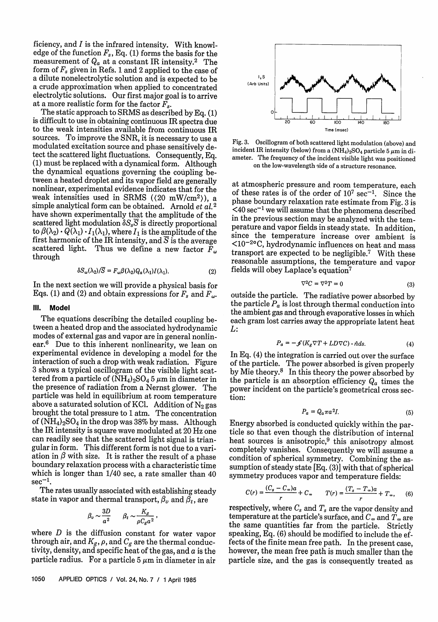ficiency, and  $I$  is the infrared intensity. With knowledge of the function  $F_s$ , Eq. (1) forms the basis for the measurement of  $Q_a$  at a constant IR intensity.<sup>2</sup> The form of  $F_s$  given in Refs. 1 and 2 applied to the case of a dilute nonelectrolytic solution and is expected to be a crude approximation when applied to concentrated electrolytic solutions. Our first major goal is to arrive at a more realistic form for the factor  $F_s$ .

The static approach to SRMS as described by Eq. (1) is difficult to use in obtaining continuous IR spectra due to the weak intensities available from continuous IR sources. To improve the SNR, it is necessary to use a modulated excitation source and phase sensitively detect the scattered light fluctuations. Consequently, Eq.  $(1)$  must be replaced with a dynamical form. Although the dynamical equations governing the coupling between a heated droplet and its vapor field are generally nonlinear, experimental evidence indicates that for the weak intensities used in SRMS ( $(20 \text{ mW/cm}^2)$ ), a simple analytical form can be obtained. Arnold et *al.<sup>2</sup>* have shown experimentally that the amplitude of the scattered light modulation  $\delta S_s \overline{S}$  is directly proportional to  $\beta(\lambda_2) \cdot Q(\lambda_1) \cdot I_1(\lambda_1)$ , where  $I_1$  is the amplitude of the first harmonic of the IR intensity, and  $\overline{S}$  is the average scattered light. Thus we define a new factor  $\tilde{F}_{\omega}$ through

$$
\delta S_{\omega}(\lambda_2)/\overline{S} = F_{\omega}\beta(\lambda_2)Q_a(\lambda_1)I(\lambda_1). \tag{2}
$$

In the next section we will provide a physical basis for Eqs. (1) and (2) and obtain expressions for  $F_s$  and  $F_\omega$ .

#### **111. Model**

The equations describing the detailed coupling be-<br>tween a heated drop and the associated hydrodynamic modes of external gas and vapor are in general nonlinear.<sup>6</sup> Due to this inherent nonlinearity, we lean on experimental evidence in developing a model for the interaction of such a drop with weak radiation. Figure 3 shows a typical oscillogram of the visible light scattered from a particle of  $(NH_4)_2SO_4$  5  $\mu$ m in diameter in the presence of radiation from a Nernst glower. The particle was held in equilibrium at room temperature<br>above a saturated solution of KCl. Addition of  $N_2$  gas brought the total pressure to 1 atm. The concentration of  $(NH_4)_2SO_4$  in the drop was 38% by mass. Although the IR intensity is square wave modulated at 20 Hz one can readily see that the scattered light signal is triangular in form. This different form is not due to a variation in  $\beta$  with size. It is rather the result of a phase boundary relaxation process with a characteristic time which is longer than  $1/40$  sec, a rate smaller than  $40 \text{ sec}^{-1}$ .

The rates usually associated with establishing steady state in vapor and thermal transport,  $\beta_v$  and  $\beta_t$ , are

$$
\beta_v \sim \frac{3D}{a^2} \qquad \beta_t \sim \frac{K_g}{\rho C_g a^2}
$$

where D is the diffusion constant for water vapor through air, and  $K_g$ ,  $\rho$ , and  $C_g$  are the thermal conductivity, density, and specific heat of the gas, and  $a$  is the particle radius. For a particle  $5 \mu m$  in diameter in air



Fig. 3. Oscillogram of both scattered light modulation (above) and incident IR intensity (below) from a  $(NH_4)_2SO_4$  particle 5  $\mu$ m in diameter. The frequency of the incident visible light was positioned on the low-wavelength side of a structure resonance.

at atmospheric pressure and room temperature, each of these rates is of the order of  $10^7$  sec<sup>-1</sup>. Since the phase boundary relaxation rate estimate from Fig. 3 is  $<$ 40 sec<sup>-1</sup> we will assume that the phenomena described in the previous section may be analyzed with the temperature and vapor fields in steady state. In addition, since the temperature increase over ambient is <10-2oC, hydrodynamic influences on heat and mass transport are expected to be negligible.7 With these reasonable assumptions, the temperature and vapor fields will obey Laplace's equation7

$$
\nabla^2 C = \nabla^2 T = 0 \tag{3}
$$

outside the particle. The radiative power absorbed by the particle  $P_a$  is lost through thermal conduction into the ambient gas and through evaporative losses in which each gram lost carries away the appropriate latent heat L:

$$
P_a = -\mathcal{J}(K_g \nabla T + LD \nabla C) \cdot \hat{n} ds. \tag{4}
$$

In Eq. (4) the integration is carried out over the surface of the particle. The power absorbed is given properly by Mie theory.<sup>8</sup> In this theory the power absorbed by the particle is an absorption efficiency  $Q_a$  times the power incident on the particle's geometrical cross section:

$$
P_a = Q_a \pi a^2 I. \tag{5}
$$

Energy absorbed is conducted quickly within the par- ticle so that even though the distribution of internal heat sources is anisotropic, $9$  this anisotropy almost completely vanishes. Consequently we will assume a condition of spherical symmetry. Combining the assumption of steady state [Eq. (3)] with that of spherical symmetry produces vapor and temperature fields:

$$
C(r) = \frac{(C_s - C_\infty)a}{r} + C_\infty \qquad T(r) = \frac{(T_s - T_\infty)a}{r} + T_\infty, \qquad (6)
$$

respectively, where  $C_s$  and  $T_s$  are the vapor density and temperature at the particle's surface, and  $C_{\infty}$  and  $T_{\infty}$  are<br>the same quantities far from the particle. Strictly speaking, Eq. (6) should be modified to include the effects of the finite mean free path. In the present case, however, the mean free path is much smaller than the particle size, and the gas is consequently treated as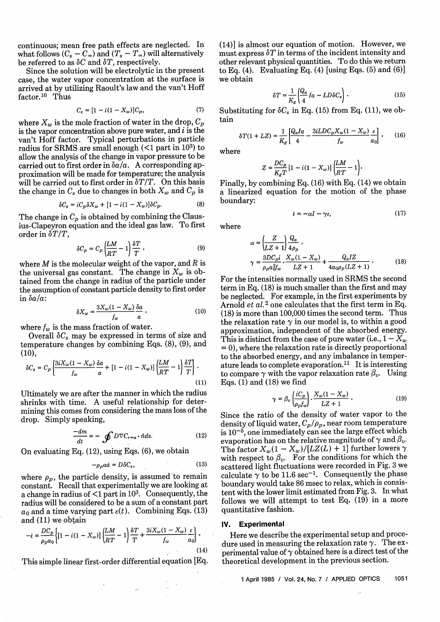continuous; mean free path effects are neglected. In what follows  $(C_s - C_\infty)$  and  $(T_s - T_\infty)$  will alternatively be referred to as  $\delta C$  and  $\delta T$ , respectively.

Since the solution will be electrolytic in the present case, the water vapor concentration at the surface is arrived at by utilizing Raoult's law and the van't Hoff factor.<sup>10</sup> Thus

$$
C_s = [1 - i(1 - X_w)]C_p, \t\t(7)
$$

where  $X_w$  is the mole fraction of water in the drop,  $C_p$ is the vapor concentration above pure water, and  $i$  is the van't Hoff factor. Typical perturbations in particle radius for SRMS are small enough  $($ 1 part in 10<sup>3</sup>) to allow the analysis of the change in vapor pressure to be carried out to first order in *ba/a.* A corresponding approximation will be made for temperature; the analysis will be carried out to first order in  $\delta T/T$ . On this basis the change in  $C_s$  due to changes in both  $X_w$  and  $C_p$  is

$$
\delta C_s = iC_p \delta X_w + [1 - i(1 - X_w)] \delta C_p. \tag{8}
$$

The change in  $C_p$  is obtained by combining the Clausius-Clapeyron equation and the ideal gas law. To first order in  $\delta T/T$ ,

$$
\delta C_p = C_p \left( \frac{LM}{RT} - 1 \right) \frac{\delta T}{T}, \qquad (9)
$$

where  $M$  is the molecular weight of the vapor, and  $R$  is the universal gas constant. The change in  $X_w$  is obtained from the change in radius of the particle under the assumption of constant particle density to first order in *ba/a:*

$$
\delta X_w = \frac{3X_w(1 - X_w)}{f_w} \frac{\delta a}{a} \,,\tag{10}
$$

where  $f_w$  is the mass fraction of water.

Overall  $\delta C_s$  may be expressed in terms of size and temperature changes by combining Eqs. (8), (9), and (10),

$$
\delta C_s = C_p \left\{ \frac{3iX_w(1 - X_w)}{f_w} \frac{\delta a}{a} + \left[ 1 - i(1 - X_w) \right] \left( \frac{LM}{RT} - 1 \right) \frac{\delta T}{T} \right\} \,. \tag{11}
$$

Ultimately we are after the manner in which the radius shrinks with time. A useful relationship for determining this comes from considering the mass loss of the drop. Simply speaking,

$$
\frac{-dm}{dt} = -\oint D\nabla C_{r=a} \cdot \hat{n} ds. \tag{12}
$$

On evaluating Eq.  $(12)$ , using Eqs.  $(6)$ , we obtain

$$
-\rho_p a \dot{a} = D \delta C_s, \qquad (13)
$$

where  $\rho_p$ , the particle density, is assumed to remain constant. Recall that experimentally we are looking at a change in radius of  $\leq 1$  part in 10<sup>3</sup>. Consequently, the radius will be considered to be a sum of a constant part  $a_0$  and a time varying part  $\varepsilon(t)$ . Combining Eqs. (13) and (11) we obtain

$$
-\dot{\epsilon} = \frac{DC_p}{\rho_p a_0} \left\{ \left[ 1 - i(1 - X_w) \right] \left( \frac{LM}{RT} - 1 \right) \frac{\delta T}{T} + \frac{3i X_w (1 - X_w)}{f_w} \frac{\epsilon}{a_0} \right\}.
$$
\n(14)

This simple linear first-order differential equation [Eq.

 $\mathcal{L}^{\mathcal{L}}$ 

(14)] is almost our equation of motion. However, we must express  $\delta T$  in terms of the incident intensity and other relevant physical quantities. To do this we return to Eq. (4). Evaluating Eq. (4) [using Eqs.  $(5)$  and  $(6)$ ] we obtain

$$
\delta T = \frac{1}{K_g} \left( \frac{Q_a}{4} Ia - LD \delta C_s \right) . \tag{15}
$$

Substituting for  $\delta C_s$  in Eq. (15) from Eq. (11), we obtain

$$
\delta T(1+LZ)=\frac{1}{K_g}\left[\frac{Q_aIa}{4}-\frac{3iLDC_pX_w(1-X_w)}{f_w}\frac{\varepsilon}{a_0}\right]\,,\qquad (16)
$$

where

$$
Z = \frac{DC_p}{K_g T} \left[1 - i(1 - X_w)\right] \left(\frac{LM}{RT} - 1\right).
$$

Finally, by combining Eq. (16) with Eq. (14) we obtain a linearized equation for the motion of the phase boundary:

$$
\dot{\epsilon} = -\alpha I - \gamma \epsilon, \qquad (17)
$$

where

$$
\alpha = \left(\frac{Z}{LZ+1}\right)\frac{Q_a}{4\rho_p},
$$
\n
$$
\gamma = \frac{3DC_{pi}}{\rho_p a_{0\ell p}^2} \cdot \frac{X_w(1-X_w)}{LZ+1} + \frac{Q_aIZ}{4a_{0\ell p}(LZ+1)}.
$$
\n(18)

For the intensities normally used in SRMS the second term in Eq. (18) is much smaller than the first and may be neglected. For example, in the first experiments by Arnold et *al.2* one calculates that the first term in Eq. (18) is more than 100,000 times the second term. Thus the relaxation rate  $\gamma$  in our model is, to within a good approximation, independent of the absorbed energy. This is distinct from the case of pure water (i.e.,  $1 - X_w$ ) = 0), where the relaxation rate is directly proportional to the absorbed energy, and any imbalance in temperature leads to complete evaporation.<sup>11</sup> It is interesting to compare  $\gamma$  with the vapor relaxation rate  $\beta_{\nu}$ . Using Eqs.  $(1)$  and  $(18)$  we find

$$
\gamma = \beta_v \left( \frac{iC_p}{\rho_p f_w} \right) \cdot \frac{X_w (1 - X_w)}{LZ + 1} \,. \tag{19}
$$

Since the ratio of the density of water vapor to the density of liquid water,  $C_p/\rho_p$ , near room temperature is  $10^{-5}$ , one immediately can see the large effect which evaporation has on the relative magnitude of  $\gamma$  and  $\beta_{\nu}$ . The factor  $X_w(1 - X_w)/[LZ(L) + 1]$  further lowers  $\gamma$ with respect to  $\beta_v$ . For the conditions for which the scattered light fluctuations were recorded in Fig. 3 we calculate  $\gamma$  to be 11.6 sec<sup>-1</sup>. Consequently the phase boundary would take 86 msec to relax, which is consistent with the lower limit estimated from Fig. 3. In what follows we will attempt to test Eq. (19) in a more quantitative fashion.

### **IV. Experimental**

Here we describe the experimental setup and procedure used in measuring the relaxation rate  $\gamma$ . The experimental value of  $\gamma$  obtained here is a direct test of the theoretical development in the previous section.

1 April 1985 / Vol. 24, No. 7 / APPLIED OPTICS 1051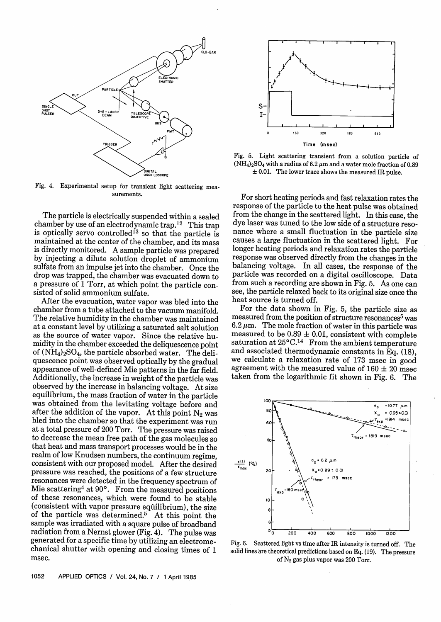

Fig. 4. Experimental setup for transient light scattering measurements.

The particle is electrically suspended within a sealed chamber by use of an electrodynamic trap.<sup>12</sup> This trap is optically servo controlled<sup>13</sup> so that the particle is maintained at the center of the chamber, and its mass is directly monitored. A sample particle was prepared by injecting a dilute solution droplet of ammonium sulfate from an impulse jet into the chamber. Once the drop was trapped, the chamber was evacuated down to a pressure of 1 Torr, at which point the particle consisted of solid ammonium sulfate.

After the evacuation, water vapor was bled into the chamber from a tube attached to the vacuum manifold. The relative humidity in the chamber was maintained at a constant level by utilizing a saturated salt solution as the source of water vapor. Since the relative huof  $(NH_4)_2SO_4$ , the particle absorbed water. The deliquescence point was observed optically by the gradual appearance of well-defined Mie patterns in the far field. Additionally, the increase in weight of the particle was observed by the increase in balancing voltage. At size equilibrium, the mass fraction of water in the particle was obtained from the levitating voltage before and after the addition of the vapor. At this point  $N_2$  was bled into the chamber so that the experiment was run at a total pressure of 200 Torr. The pressure was raised to decrease the mean free path of the gas molecules so that heat and mass transport processes would be in the realm of low Knudsen numbers, the continuum regime, consistent with our proposed model. After the desired pressure was reached, the positions of a few structure resonances were detected in the frequency spectrum of Mie scattering<sup>4</sup> at  $90^{\circ}$ . From the measured positions of these resonances, which were found to be stable (consistent with vapor pressure equilibrium), the size of the particle was determined.5 At this point the sample was irradiated with a square pulse of broadband radiation from a Nernst glower (Fig. 4). The pulse was generated for a specific time by utilizing an electromechanical shutter with opening and closing times of 1 msec.



Fig. 5. Light scattering transient from a solution particle of  $(NH_4)_2SO_4$  with a radius of 6.2  $\mu$ m and a water mole fraction of 0.89  $\pm$  0.01. The lower trace shows the measured IR pulse.

For short heating periods and fast relaxation rates the response of the particle to the heat pulse was obtained from the change in the scattered light. In this case, the dye laser was tuned to the low side of a structure resonance where a small fluctuation in the particle size causes a large fluctuation in the scattered light. For longer heating periods and relaxation rates the particle response was observed directly from the changes in the balancing voltage. In all cases, the response of the particle was recorded on a digital oscilloscope. Data from such a recording are shown in Fig. 5. As one can see, the particle relaxed back to its original size once the heat source is turned off.

For the data shown in Fig. 5, the particle size as measured from the position of structure resonances<sup>5</sup> was 6.2  $\mu$ m. The mole fraction of water in this particle was measured to be 0.89  $\pm$  0.01, consistent with complete saturation at  $25^{\circ}C^{14}$  From the ambient temperature and associated thermodynamic constants in Eq. (18), we calculate a relaxation rate of 173 msec in good agreement with the measured value of  $160 \pm 20$  msec taken from the logarithmic fit shown in Fig. 6. The



Fig. 6. Scattered light vs time after IR intensity is turned off. The solid lines are theoretical predictions based on Eq. (19). The pressure of  $N_2$  gas plus vapor was 200 Torr.